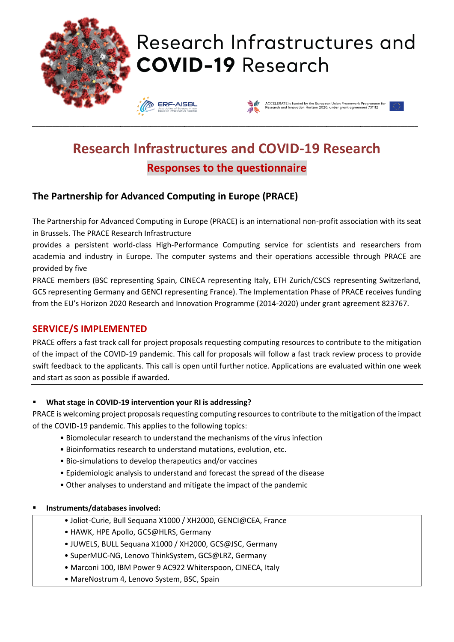

# **Research Infrastructures and COVID-19 Research Responses to the questionnaire**

# **The Partnership for Advanced Computing in Europe (PRACE)**

The Partnership for Advanced Computing in Europe (PRACE) is an international non-profit association with its seat in Brussels. The PRACE Research Infrastructure

provides a persistent world-class High-Performance Computing service for scientists and researchers from academia and industry in Europe. The computer systems and their operations accessible through PRACE are provided by five

PRACE members (BSC representing Spain, CINECA representing Italy, ETH Zurich/CSCS representing Switzerland, GCS representing Germany and GENCI representing France). The Implementation Phase of PRACE receives funding from the EU's Horizon 2020 Research and Innovation Programme (2014-2020) under grant agreement 823767.

# **SERVICE/S IMPLEMENTED**

PRACE offers a fast track call for project proposals requesting computing resources to contribute to the mitigation of the impact of the COVID-19 pandemic. This call for proposals will follow a fast track review process to provide swift feedback to the applicants. This call is open until further notice. Applications are evaluated within one week and start as soon as possible if awarded.

## ▪ **What stage in COVID-19 intervention your RI is addressing?**

PRACE is welcoming project proposals requesting computing resources to contribute to the mitigation of the impact of the COVID-19 pandemic. This applies to the following topics:

- Biomolecular research to understand the mechanisms of the virus infection
- Bioinformatics research to understand mutations, evolution, etc.
- Bio-simulations to develop therapeutics and/or vaccines
- Epidemiologic analysis to understand and forecast the spread of the disease
- Other analyses to understand and mitigate the impact of the pandemic

### ▪ **Instruments/databases involved:**

- Joliot-Curie, Bull Sequana X1000 / XH2000, GENCI@CEA, France
- HAWK, HPE Apollo, GCS@HLRS, Germany
- JUWELS, BULL Sequana X1000 / XH2000, GCS@JSC, Germany
- SuperMUC-NG, Lenovo ThinkSystem, GCS@LRZ, Germany
- Marconi 100, IBM Power 9 AC922 Whiterspoon, CINECA, Italy
- MareNostrum 4, Lenovo System, BSC, Spain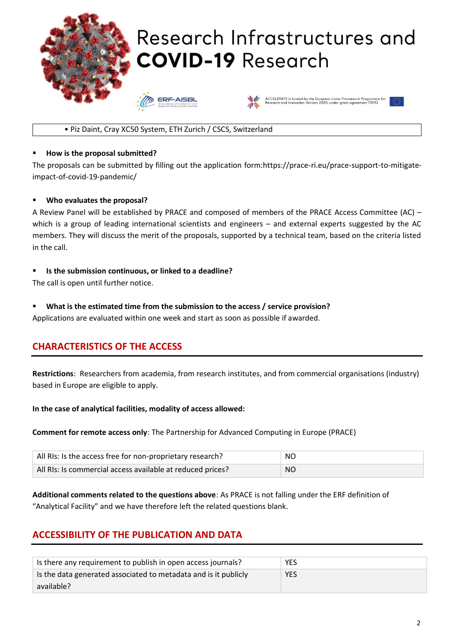

#### • Piz Daint, Cray XC50 System, ETH Zurich / CSCS, Switzerland

#### ▪ **How is the proposal submitted?**

The proposals can be submitted by filling out the application form:https://prace-ri.eu/prace-support-to-mitigateimpact-of-covid-19-pandemic/

#### ▪ **Who evaluates the proposal?**

A Review Panel will be established by PRACE and composed of members of the PRACE Access Committee (AC) – which is a group of leading international scientists and engineers – and external experts suggested by the AC members. They will discuss the merit of the proposals, supported by a technical team, based on the criteria listed in the call.

#### ▪ **Is the submission continuous, or linked to a deadline?**

The call is open until further notice.

#### What is the estimated time from the submission to the access / service provision?

Applications are evaluated within one week and start as soon as possible if awarded.

## **CHARACTERISTICS OF THE ACCESS**

**Restrictions**: Researchers from academia, from research institutes, and from commercial organisations (industry) based in Europe are eligible to apply.

#### **In the case of analytical facilities, modality of access allowed:**

**Comment for remote access only**: The Partnership for Advanced Computing in Europe (PRACE)

| All RIs: Is the access free for non-proprietary research?  | <b>NO</b> |
|------------------------------------------------------------|-----------|
| All RIs: Is commercial access available at reduced prices? | NO        |

**Additional comments related to the questions above**: As PRACE is not falling under the ERF definition of "Analytical Facility" and we have therefore left the related questions blank.

## **ACCESSIBILITY OF THE PUBLICATION AND DATA**

| Is there any requirement to publish in open access journals?    | YES.       |
|-----------------------------------------------------------------|------------|
| Is the data generated associated to metadata and is it publicly | <b>YES</b> |
| available?                                                      |            |